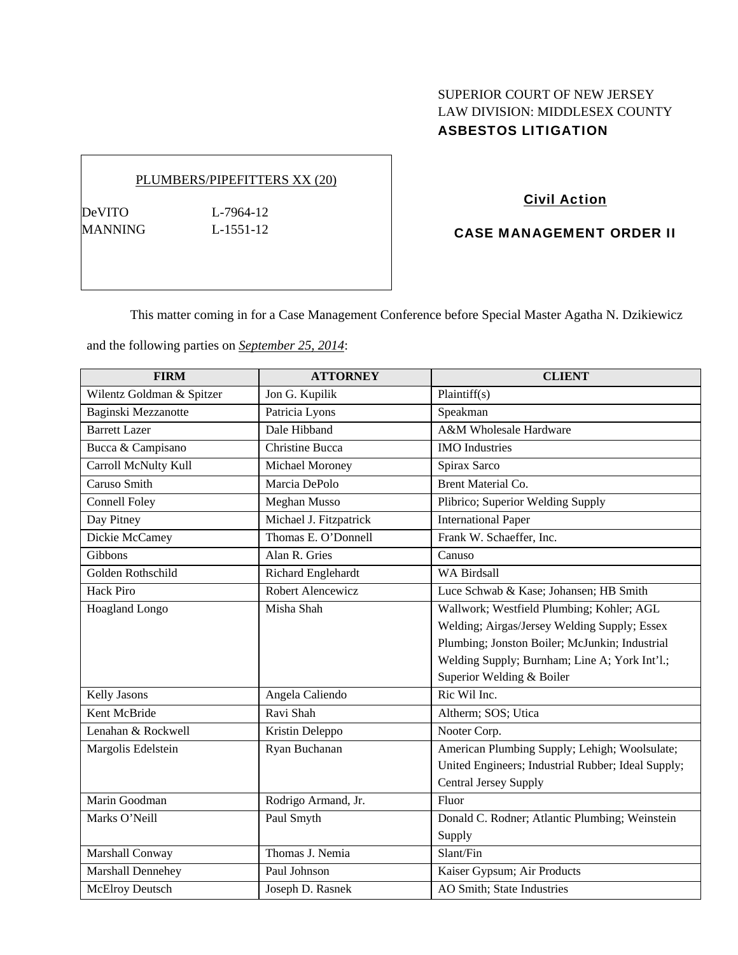# SUPERIOR COURT OF NEW JERSEY LAW DIVISION: MIDDLESEX COUNTY ASBESTOS LITIGATION

## PLUMBERS/PIPEFITTERS XX (20)

DeVITO L-7964-12 MANNING L-1551-12

Civil Action

## CASE MANAGEMENT ORDER II

This matter coming in for a Case Management Conference before Special Master Agatha N. Dzikiewicz

and the following parties on *September 25, 2014*:

| <b>FIRM</b>               | <b>ATTORNEY</b>        | <b>CLIENT</b>                                      |
|---------------------------|------------------------|----------------------------------------------------|
| Wilentz Goldman & Spitzer | Jon G. Kupilik         | Plaintiff(s)                                       |
| Baginski Mezzanotte       | Patricia Lyons         | Speakman                                           |
| <b>Barrett Lazer</b>      | Dale Hibband           | A&M Wholesale Hardware                             |
| Bucca & Campisano         | <b>Christine Bucca</b> | <b>IMO</b> Industries                              |
| Carroll McNulty Kull      | Michael Moroney        | Spirax Sarco                                       |
| Caruso Smith              | Marcia DePolo          | <b>Brent Material Co.</b>                          |
| <b>Connell Foley</b>      | <b>Meghan Musso</b>    | Plibrico; Superior Welding Supply                  |
| Day Pitney                | Michael J. Fitzpatrick | <b>International Paper</b>                         |
| Dickie McCamey            | Thomas E. O'Donnell    | Frank W. Schaeffer, Inc.                           |
| Gibbons                   | Alan R. Gries          | Canuso                                             |
| Golden Rothschild         | Richard Englehardt     | <b>WA Birdsall</b>                                 |
| <b>Hack Piro</b>          | Robert Alencewicz      | Luce Schwab & Kase; Johansen; HB Smith             |
| Hoagland Longo            | Misha Shah             | Wallwork; Westfield Plumbing; Kohler; AGL          |
|                           |                        | Welding; Airgas/Jersey Welding Supply; Essex       |
|                           |                        | Plumbing; Jonston Boiler; McJunkin; Industrial     |
|                           |                        | Welding Supply; Burnham; Line A; York Int'l.;      |
|                           |                        | Superior Welding & Boiler                          |
| Kelly Jasons              | Angela Caliendo        | Ric Wil Inc.                                       |
| Kent McBride              | Ravi Shah              | Altherm; SOS; Utica                                |
| Lenahan & Rockwell        | Kristin Deleppo        | Nooter Corp.                                       |
| Margolis Edelstein        | Ryan Buchanan          | American Plumbing Supply; Lehigh; Woolsulate;      |
|                           |                        | United Engineers; Industrial Rubber; Ideal Supply; |
|                           |                        | Central Jersey Supply                              |
| Marin Goodman             | Rodrigo Armand, Jr.    | Fluor                                              |
| Marks O'Neill             | Paul Smyth             | Donald C. Rodner; Atlantic Plumbing; Weinstein     |
|                           |                        | Supply                                             |
| Marshall Conway           | Thomas J. Nemia        | Slant/Fin                                          |
| Marshall Dennehey         | Paul Johnson           | Kaiser Gypsum; Air Products                        |
| McElroy Deutsch           | Joseph D. Rasnek       | AO Smith; State Industries                         |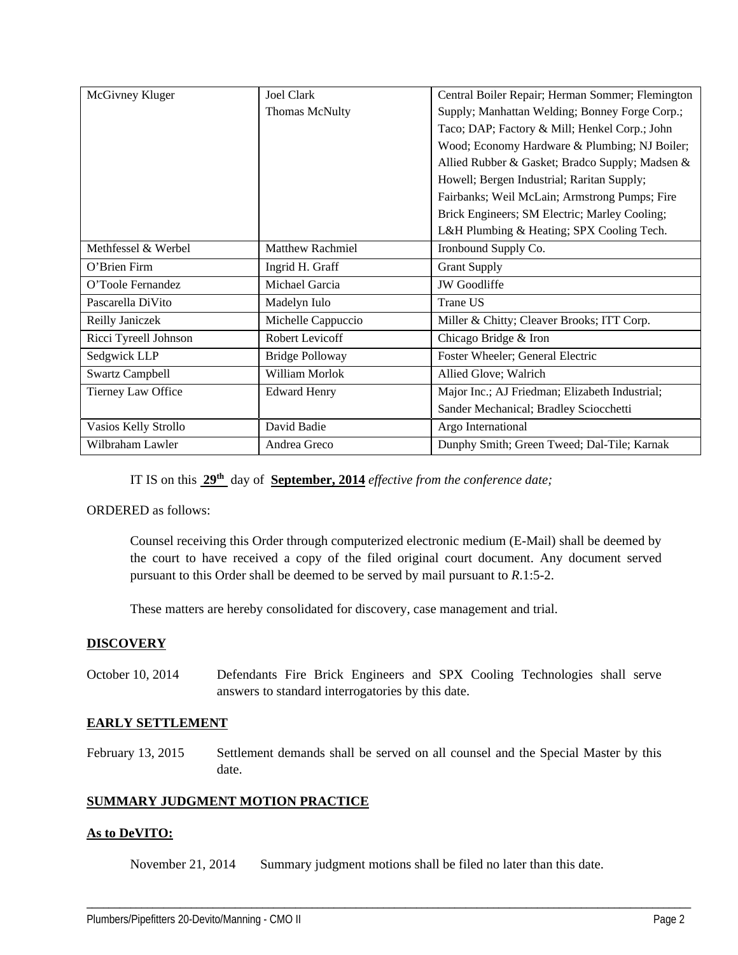| McGivney Kluger        | Joel Clark              | Central Boiler Repair; Herman Sommer; Flemington |
|------------------------|-------------------------|--------------------------------------------------|
|                        | <b>Thomas McNulty</b>   | Supply; Manhattan Welding; Bonney Forge Corp.;   |
|                        |                         | Taco; DAP; Factory & Mill; Henkel Corp.; John    |
|                        |                         | Wood; Economy Hardware & Plumbing; NJ Boiler;    |
|                        |                         | Allied Rubber & Gasket; Bradco Supply; Madsen &  |
|                        |                         | Howell; Bergen Industrial; Raritan Supply;       |
|                        |                         | Fairbanks; Weil McLain; Armstrong Pumps; Fire    |
|                        |                         | Brick Engineers; SM Electric; Marley Cooling;    |
|                        |                         | L&H Plumbing & Heating; SPX Cooling Tech.        |
| Methfessel & Werbel    | <b>Matthew Rachmiel</b> | Ironbound Supply Co.                             |
| O'Brien Firm           | Ingrid H. Graff         | <b>Grant Supply</b>                              |
| O'Toole Fernandez      | Michael Garcia          | <b>JW</b> Goodliffe                              |
| Pascarella DiVito      | Madelyn Iulo            | <b>Trane US</b>                                  |
| Reilly Janiczek        | Michelle Cappuccio      | Miller & Chitty; Cleaver Brooks; ITT Corp.       |
| Ricci Tyreell Johnson  | Robert Levicoff         | Chicago Bridge & Iron                            |
| Sedgwick LLP           | <b>Bridge Polloway</b>  | Foster Wheeler; General Electric                 |
| <b>Swartz Campbell</b> | William Morlok          | Allied Glove; Walrich                            |
| Tierney Law Office     | <b>Edward Henry</b>     | Major Inc.; AJ Friedman; Elizabeth Industrial;   |
|                        |                         | Sander Mechanical; Bradley Sciocchetti           |
| Vasios Kelly Strollo   | David Badie             | Argo International                               |
| Wilbraham Lawler       | Andrea Greco            | Dunphy Smith; Green Tweed; Dal-Tile; Karnak      |

IT IS on this **29th** day of **September, 2014** *effective from the conference date;*

ORDERED as follows:

Counsel receiving this Order through computerized electronic medium (E-Mail) shall be deemed by the court to have received a copy of the filed original court document. Any document served pursuant to this Order shall be deemed to be served by mail pursuant to *R*.1:5-2.

These matters are hereby consolidated for discovery, case management and trial.

### **DISCOVERY**

October 10, 2014 Defendants Fire Brick Engineers and SPX Cooling Technologies shall serve answers to standard interrogatories by this date.

## **EARLY SETTLEMENT**

February 13, 2015 Settlement demands shall be served on all counsel and the Special Master by this date.

## **SUMMARY JUDGMENT MOTION PRACTICE**

### **As to DeVITO:**

November 21, 2014 Summary judgment motions shall be filed no later than this date.

\_\_\_\_\_\_\_\_\_\_\_\_\_\_\_\_\_\_\_\_\_\_\_\_\_\_\_\_\_\_\_\_\_\_\_\_\_\_\_\_\_\_\_\_\_\_\_\_\_\_\_\_\_\_\_\_\_\_\_\_\_\_\_\_\_\_\_\_\_\_\_\_\_\_\_\_\_\_\_\_\_\_\_\_\_\_\_\_\_\_\_\_\_\_\_\_\_\_\_\_\_\_\_\_\_\_\_\_\_\_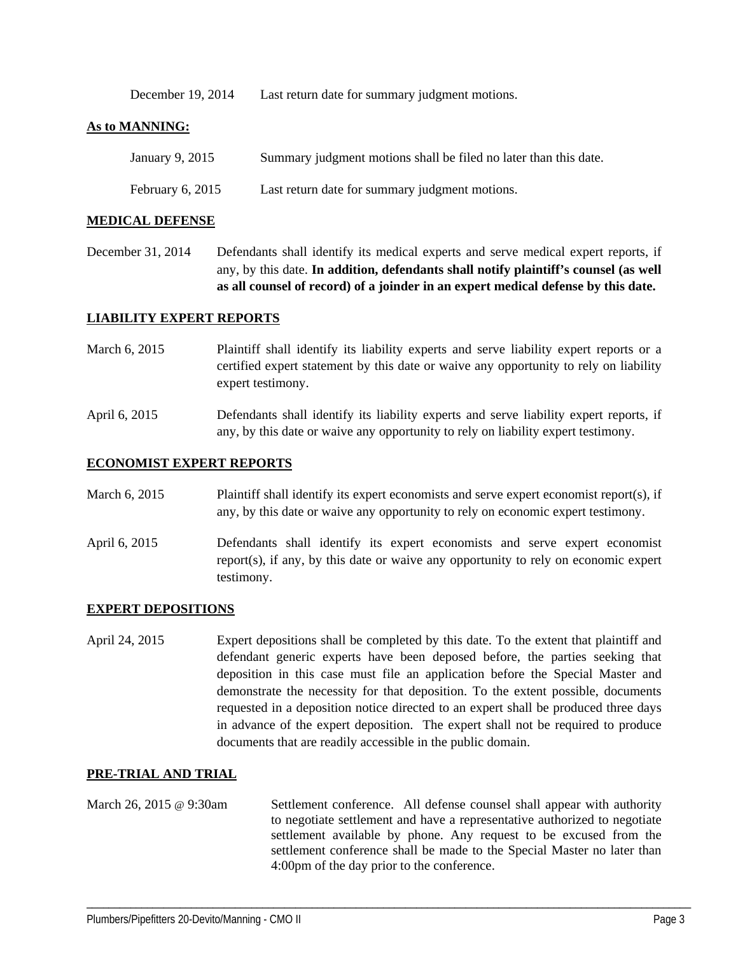December 19, 2014 Last return date for summary judgment motions.

### **As to MANNING:**

| January 9, 2015    | Summary judgment motions shall be filed no later than this date. |
|--------------------|------------------------------------------------------------------|
| February $6, 2015$ | Last return date for summary judgment motions.                   |

#### **MEDICAL DEFENSE**

December 31, 2014 Defendants shall identify its medical experts and serve medical expert reports, if any, by this date. **In addition, defendants shall notify plaintiff's counsel (as well as all counsel of record) of a joinder in an expert medical defense by this date.** 

### **LIABILITY EXPERT REPORTS**

- March 6, 2015 Plaintiff shall identify its liability experts and serve liability expert reports or a certified expert statement by this date or waive any opportunity to rely on liability expert testimony.
- April 6, 2015 Defendants shall identify its liability experts and serve liability expert reports, if any, by this date or waive any opportunity to rely on liability expert testimony.

#### **ECONOMIST EXPERT REPORTS**

- March 6, 2015 Plaintiff shall identify its expert economists and serve expert economist report(s), if any, by this date or waive any opportunity to rely on economic expert testimony.
- April 6, 2015 Defendants shall identify its expert economists and serve expert economist report(s), if any, by this date or waive any opportunity to rely on economic expert testimony.

### **EXPERT DEPOSITIONS**

April 24, 2015 Expert depositions shall be completed by this date. To the extent that plaintiff and defendant generic experts have been deposed before, the parties seeking that deposition in this case must file an application before the Special Master and demonstrate the necessity for that deposition. To the extent possible, documents requested in a deposition notice directed to an expert shall be produced three days in advance of the expert deposition. The expert shall not be required to produce documents that are readily accessible in the public domain.

### **PRE-TRIAL AND TRIAL**

March 26, 2015 @ 9:30am Settlement conference. All defense counsel shall appear with authority to negotiate settlement and have a representative authorized to negotiate settlement available by phone. Any request to be excused from the settlement conference shall be made to the Special Master no later than 4:00pm of the day prior to the conference.

\_\_\_\_\_\_\_\_\_\_\_\_\_\_\_\_\_\_\_\_\_\_\_\_\_\_\_\_\_\_\_\_\_\_\_\_\_\_\_\_\_\_\_\_\_\_\_\_\_\_\_\_\_\_\_\_\_\_\_\_\_\_\_\_\_\_\_\_\_\_\_\_\_\_\_\_\_\_\_\_\_\_\_\_\_\_\_\_\_\_\_\_\_\_\_\_\_\_\_\_\_\_\_\_\_\_\_\_\_\_